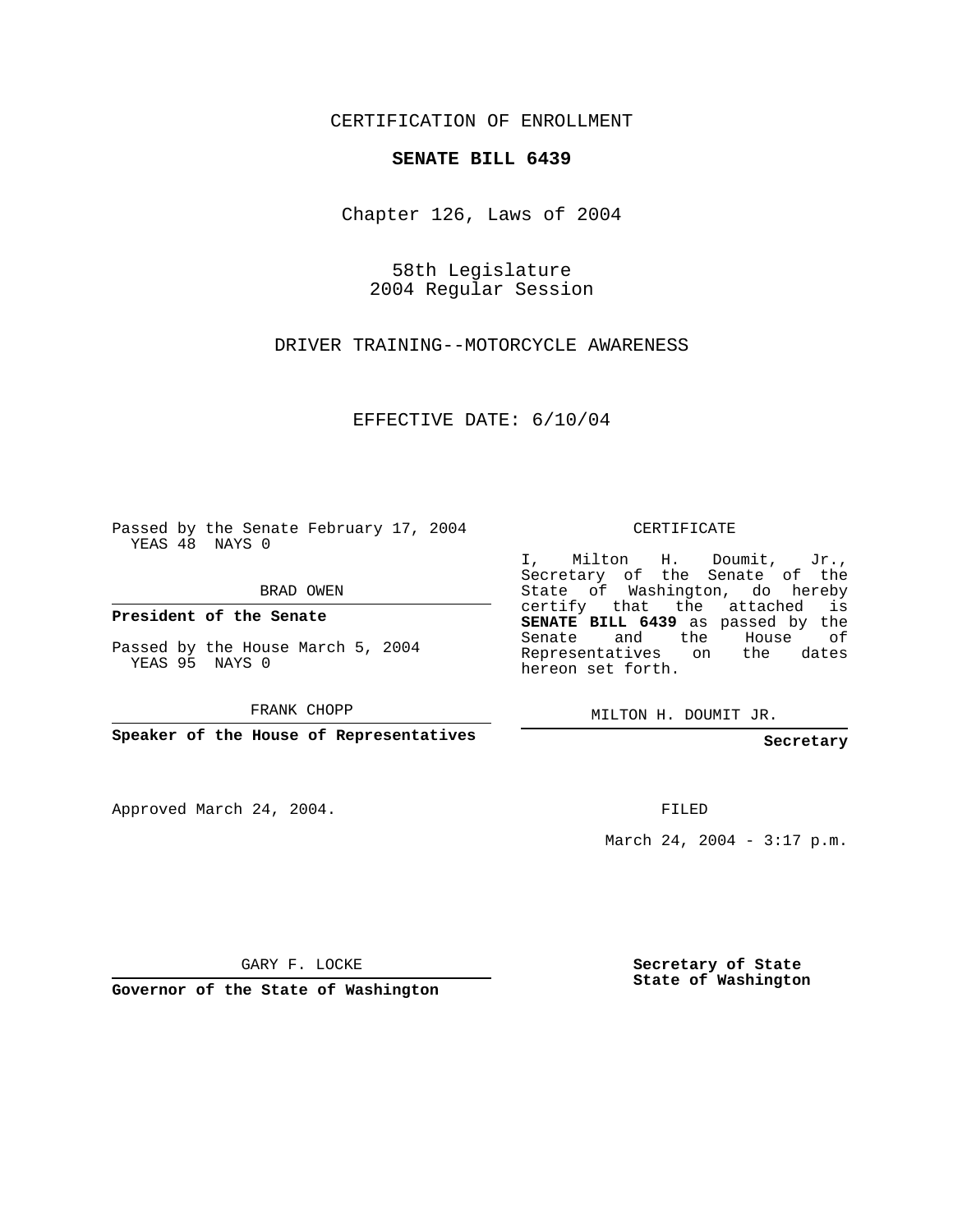CERTIFICATION OF ENROLLMENT

## **SENATE BILL 6439**

Chapter 126, Laws of 2004

58th Legislature 2004 Regular Session

DRIVER TRAINING--MOTORCYCLE AWARENESS

EFFECTIVE DATE: 6/10/04

Passed by the Senate February 17, 2004 YEAS 48 NAYS 0

BRAD OWEN

**President of the Senate**

Passed by the House March 5, 2004 YEAS 95 NAYS 0

FRANK CHOPP

**Speaker of the House of Representatives**

Approved March 24, 2004.

CERTIFICATE

I, Milton H. Doumit, Jr., Secretary of the Senate of the State of Washington, do hereby certify that the attached is **SENATE BILL 6439** as passed by the Senate and the House of Representatives on the dates hereon set forth.

MILTON H. DOUMIT JR.

**Secretary**

FILED

March 24, 2004 - 3:17 p.m.

GARY F. LOCKE

**Governor of the State of Washington**

**Secretary of State State of Washington**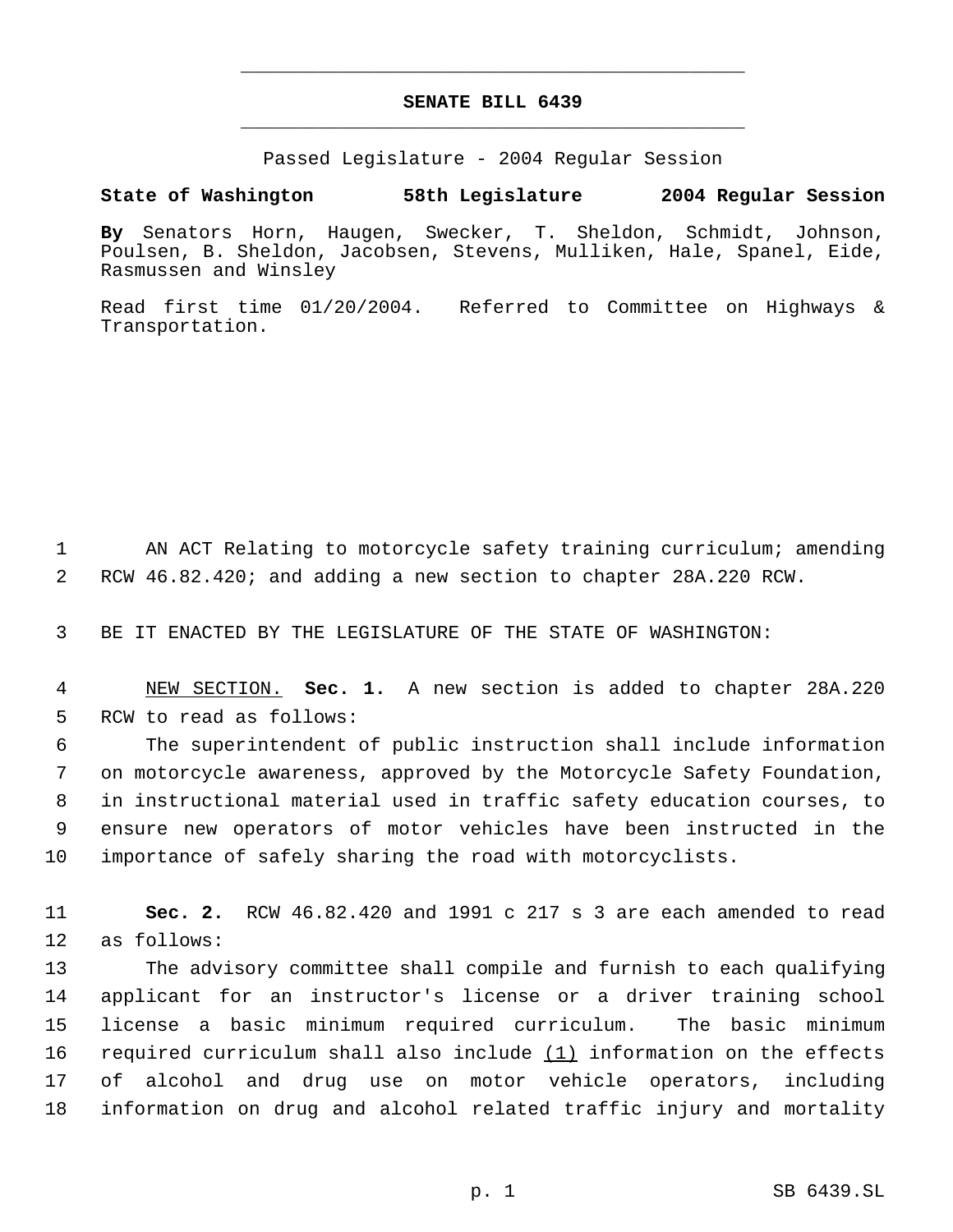## **SENATE BILL 6439** \_\_\_\_\_\_\_\_\_\_\_\_\_\_\_\_\_\_\_\_\_\_\_\_\_\_\_\_\_\_\_\_\_\_\_\_\_\_\_\_\_\_\_\_\_

\_\_\_\_\_\_\_\_\_\_\_\_\_\_\_\_\_\_\_\_\_\_\_\_\_\_\_\_\_\_\_\_\_\_\_\_\_\_\_\_\_\_\_\_\_

Passed Legislature - 2004 Regular Session

## **State of Washington 58th Legislature 2004 Regular Session**

**By** Senators Horn, Haugen, Swecker, T. Sheldon, Schmidt, Johnson, Poulsen, B. Sheldon, Jacobsen, Stevens, Mulliken, Hale, Spanel, Eide, Rasmussen and Winsley

Read first time 01/20/2004. Referred to Committee on Highways & Transportation.

 AN ACT Relating to motorcycle safety training curriculum; amending RCW 46.82.420; and adding a new section to chapter 28A.220 RCW.

BE IT ENACTED BY THE LEGISLATURE OF THE STATE OF WASHINGTON:

 NEW SECTION. **Sec. 1.** A new section is added to chapter 28A.220 RCW to read as follows:

 The superintendent of public instruction shall include information on motorcycle awareness, approved by the Motorcycle Safety Foundation, in instructional material used in traffic safety education courses, to ensure new operators of motor vehicles have been instructed in the importance of safely sharing the road with motorcyclists.

 **Sec. 2.** RCW 46.82.420 and 1991 c 217 s 3 are each amended to read as follows:

 The advisory committee shall compile and furnish to each qualifying applicant for an instructor's license or a driver training school license a basic minimum required curriculum. The basic minimum required curriculum shall also include (1) information on the effects of alcohol and drug use on motor vehicle operators, including information on drug and alcohol related traffic injury and mortality